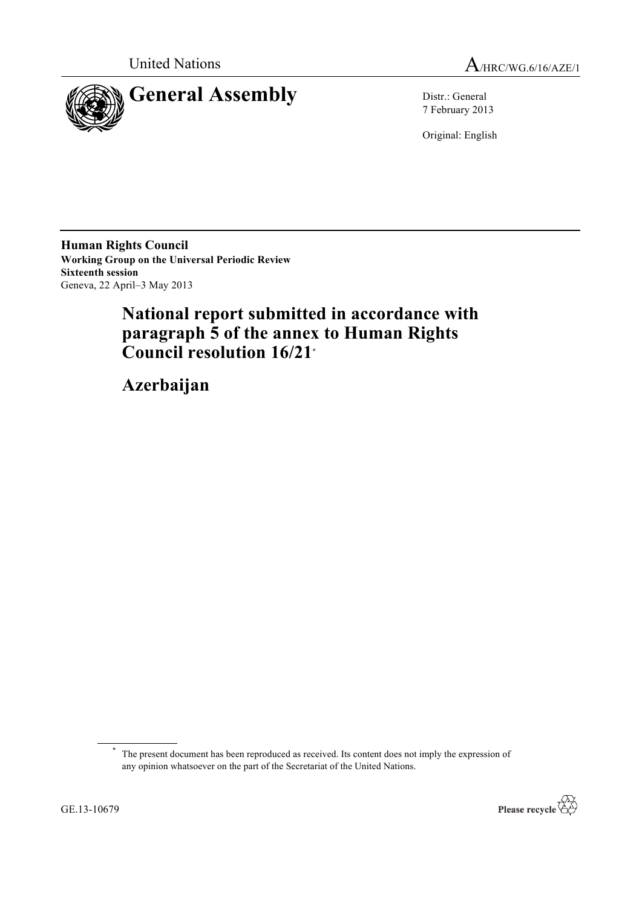



7 February 2013

Original: English

**Human Rights Council Working Group on the Universal Periodic Review Sixteenth session** Geneva, 22 April–3 May 2013

# **National report submitted in accordance with paragraph 5 of the annex to Human Rights Council resolution 16/21\***

**Azerbaijan**

\* The present document has been reproduced as received. Its content does not imply the expression of any opinion whatsoever on the part of the Secretariat of the United Nations.

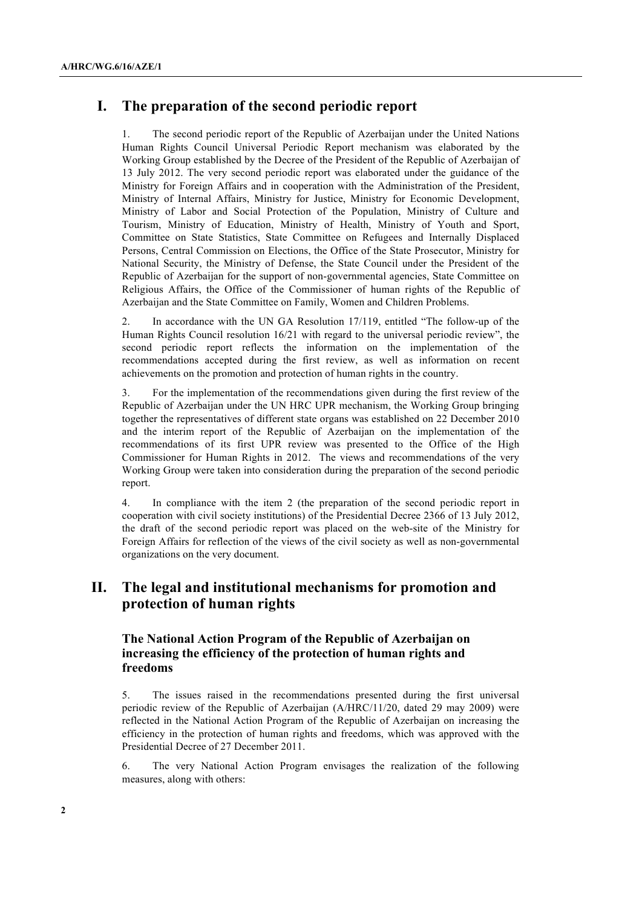# **I. The preparation of the second periodic report**

1. The second periodic report of the Republic of Azerbaijan under the United Nations Human Rights Council Universal Periodic Report mechanism was elaborated by the Working Group established by the Decree of the President of the Republic of Azerbaijan of 13 July 2012. The very second periodic report was elaborated under the guidance of the Ministry for Foreign Affairs and in cooperation with the Administration of the President, Ministry of Internal Affairs, Ministry for Justice, Ministry for Economic Development, Ministry of Labor and Social Protection of the Population, Ministry of Culture and Tourism, Ministry of Education, Ministry of Health, Ministry of Youth and Sport, Committee on State Statistics, State Committee on Refugees and Internally Displaced Persons, Central Commission on Elections, the Office of the State Prosecutor, Ministry for National Security, the Ministry of Defense, the State Council under the President of the Republic of Azerbaijan for the support of non-governmental agencies, State Committee on Religious Affairs, the Office of the Commissioner of human rights of the Republic of Azerbaijan and the State Committee on Family, Women and Children Problems.

2. In accordance with the UN GA Resolution 17/119, entitled "The follow-up of the Human Rights Council resolution 16/21 with regard to the universal periodic review", the second periodic report reflects the information on the implementation of the recommendations accepted during the first review, as well as information on recent achievements on the promotion and protection of human rights in the country.

3. For the implementation of the recommendations given during the first review of the Republic of Azerbaijan under the UN HRC UPR mechanism, the Working Group bringing together the representatives of different state organs was established on 22 December 2010 and the interim report of the Republic of Azerbaijan on the implementation of the recommendations of its first UPR review was presented to the Office of the High Commissioner for Human Rights in 2012. The views and recommendations of the very Working Group were taken into consideration during the preparation of the second periodic report.

4. In compliance with the item 2 (the preparation of the second periodic report in cooperation with civil society institutions) of the Presidential Decree 2366 of 13 July 2012, the draft of the second periodic report was placed on the web-site of the Ministry for Foreign Affairs for reflection of the views of the civil society as well as non-governmental organizations on the very document.

# **II. The legal and institutional mechanisms for promotion and protection of human rights**

# **The National Action Program of the Republic of Azerbaijan on increasing the efficiency of the protection of human rights and freedoms**

5. The issues raised in the recommendations presented during the first universal periodic review of the Republic of Azerbaijan (A/HRC/11/20, dated 29 may 2009) were reflected in the National Action Program of the Republic of Azerbaijan on increasing the efficiency in the protection of human rights and freedoms, which was approved with the Presidential Decree of 27 December 2011.

6. The very National Action Program envisages the realization of the following measures, along with others: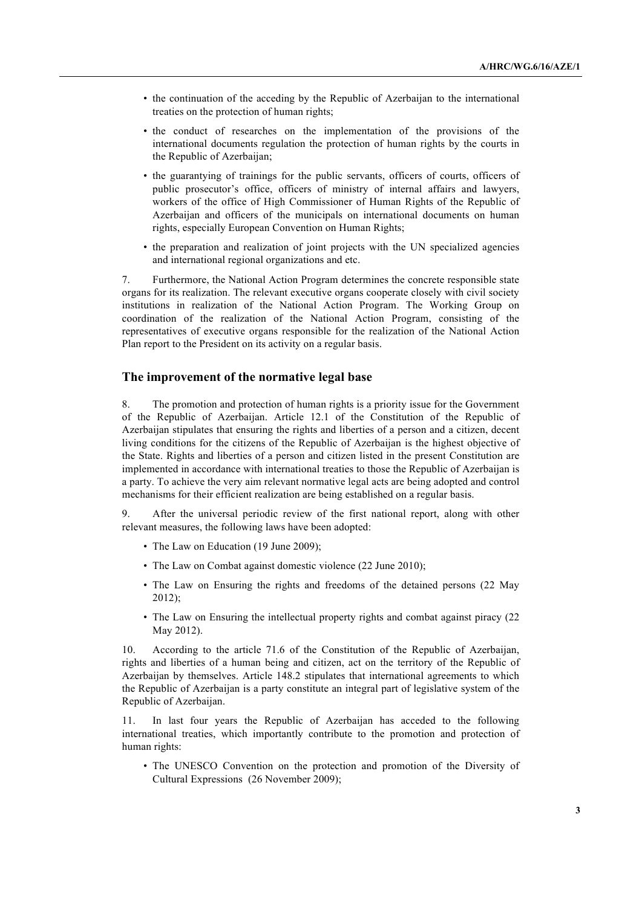- the continuation of the acceding by the Republic of Azerbaijan to the international treaties on the protection of human rights;
- the conduct of researches on the implementation of the provisions of the international documents regulation the protection of human rights by the courts in the Republic of Azerbaijan;
- the guarantying of trainings for the public servants, officers of courts, officers of public prosecutor's office, officers of ministry of internal affairs and lawyers, workers of the office of High Commissioner of Human Rights of the Republic of Azerbaijan and officers of the municipals on international documents on human rights, especially European Convention on Human Rights;
- the preparation and realization of joint projects with the UN specialized agencies and international regional organizations and etc.

7. Furthermore, the National Action Program determines the concrete responsible state organs for its realization. The relevant executive organs cooperate closely with civil society institutions in realization of the National Action Program. The Working Group on coordination of the realization of the National Action Program, consisting of the representatives of executive organs responsible for the realization of the National Action Plan report to the President on its activity on a regular basis.

### **The improvement of the normative legal base**

8. The promotion and protection of human rights is a priority issue for the Government of the Republic of Azerbaijan. Article 12.1 of the Constitution of the Republic of Azerbaijan stipulates that ensuring the rights and liberties of a person and a citizen, decent living conditions for the citizens of the Republic of Azerbaijan is the highest objective of the State. Rights and liberties of a person and citizen listed in the present Constitution are implemented in accordance with international treaties to those the Republic of Azerbaijan is a party. To achieve the very aim relevant normative legal acts are being adopted and control mechanisms for their efficient realization are being established on a regular basis.

9. After the universal periodic review of the first national report, along with other relevant measures, the following laws have been adopted:

- The Law on Education (19 June 2009);
- The Law on Combat against domestic violence (22 June 2010);
- The Law on Ensuring the rights and freedoms of the detained persons (22 May 2012);
- The Law on Ensuring the intellectual property rights and combat against piracy (22 May 2012).

10. According to the article 71.6 of the Constitution of the Republic of Azerbaijan, rights and liberties of a human being and citizen, act on the territory of the Republic of Azerbaijan by themselves. Article 148.2 stipulates that international agreements to which the Republic of Azerbaijan is a party constitute an integral part of legislative system of the Republic of Azerbaijan.

11. In last four years the Republic of Azerbaijan has acceded to the following international treaties, which importantly contribute to the promotion and protection of human rights:

• The UNESCO Convention on the protection and promotion of the Diversity of Cultural Expressions (26 November 2009);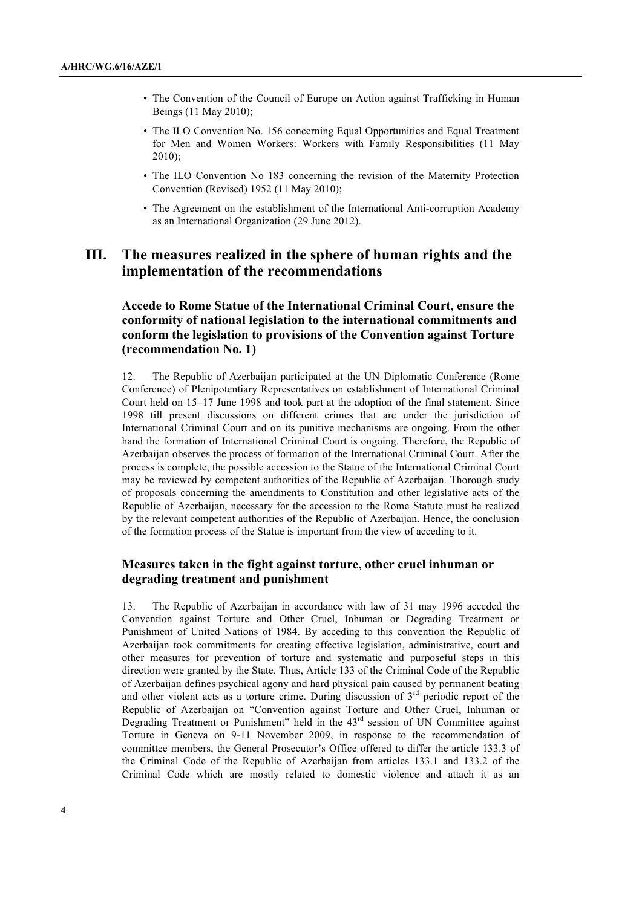- The Convention of the Council of Europe on Action against Trafficking in Human Beings (11 May 2010);
- The ILO Convention No. 156 concerning Equal Opportunities and Equal Treatment for Men and Women Workers: Workers with Family Responsibilities (11 May 2010);
- The ILO Convention No 183 concerning the revision of the Maternity Protection Convention (Revised) 1952 (11 May 2010);
- The Agreement on the establishment of the International Anti-corruption Academy as an International Organization (29 June 2012).

# **III. The measures realized in the sphere of human rights and the implementation of the recommendations**

# **Accede to Rome Statue of the International Criminal Court, ensure the conformity of national legislation to the international commitments and conform the legislation to provisions of the Convention against Torture (recommendation No. 1)**

12. The Republic of Azerbaijan participated at the UN Diplomatic Conference (Rome Conference) of Plenipotentiary Representatives on establishment of International Criminal Court held on 15–17 June 1998 and took part at the adoption of the final statement. Since 1998 till present discussions on different crimes that are under the jurisdiction of International Criminal Court and on its punitive mechanisms are ongoing. From the other hand the formation of International Criminal Court is ongoing. Therefore, the Republic of Azerbaijan observes the process of formation of the International Criminal Court. After the process is complete, the possible accession to the Statue of the International Criminal Court may be reviewed by competent authorities of the Republic of Azerbaijan. Thorough study of proposals concerning the amendments to Constitution and other legislative acts of the Republic of Azerbaijan, necessary for the accession to the Rome Statute must be realized by the relevant competent authorities of the Republic of Azerbaijan. Hence, the conclusion of the formation process of the Statue is important from the view of acceding to it.

### **Measures taken in the fight against torture, other cruel inhuman or degrading treatment and punishment**

13. The Republic of Azerbaijan in accordance with law of 31 may 1996 acceded the Convention against Torture and Other Cruel, Inhuman or Degrading Treatment or Punishment of United Nations of 1984. By acceding to this convention the Republic of Azerbaijan took commitments for creating effective legislation, administrative, court and other measures for prevention of torture and systematic and purposeful steps in this direction were granted by the State. Thus, Article 133 of the Criminal Code of the Republic of Azerbaijan defines psychical agony and hard physical pain caused by permanent beating and other violent acts as a torture crime. During discussion of  $3<sup>rd</sup>$  periodic report of the Republic of Azerbaijan on "Convention against Torture and Other Cruel, Inhuman or Degrading Treatment or Punishment" held in the  $43<sup>rd</sup>$  session of UN Committee against Torture in Geneva on 9-11 November 2009, in response to the recommendation of committee members, the General Prosecutor's Office offered to differ the article 133.3 of the Criminal Code of the Republic of Azerbaijan from articles 133.1 and 133.2 of the Criminal Code which are mostly related to domestic violence and attach it as an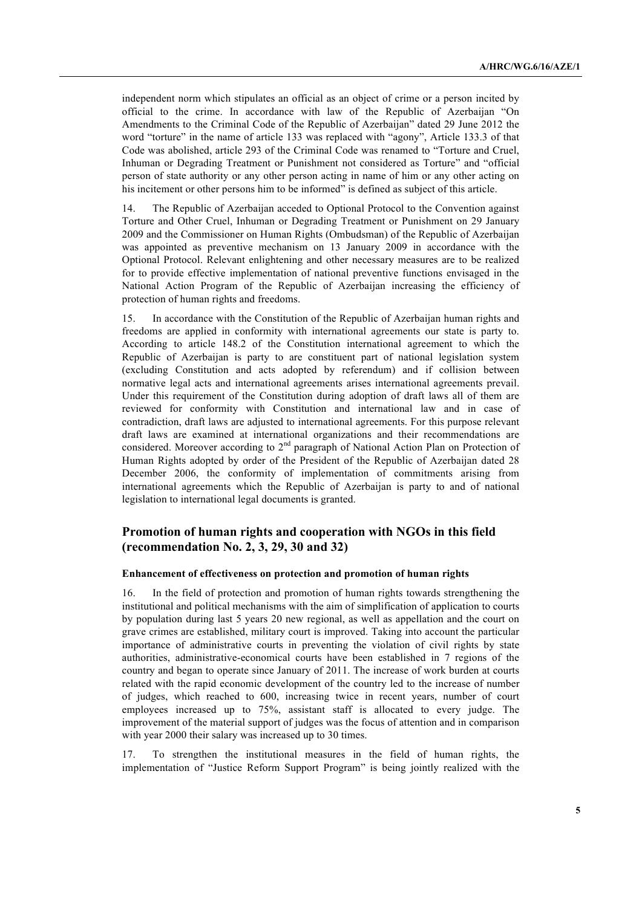independent norm which stipulates an official as an object of crime or a person incited by official to the crime. In accordance with law of the Republic of Azerbaijan "On Amendments to the Criminal Code of the Republic of Azerbaijan" dated 29 June 2012 the word "torture" in the name of article 133 was replaced with "agony", Article 133.3 of that Code was abolished, article 293 of the Criminal Code was renamed to "Torture and Cruel, Inhuman or Degrading Treatment or Punishment not considered as Torture" and "official person of state authority or any other person acting in name of him or any other acting on his incitement or other persons him to be informed" is defined as subject of this article.

14. The Republic of Azerbaijan acceded to Optional Protocol to the Convention against Torture and Other Cruel, Inhuman or Degrading Treatment or Punishment on 29 January 2009 and the Commissioner on Human Rights (Ombudsman) of the Republic of Azerbaijan was appointed as preventive mechanism on 13 January 2009 in accordance with the Optional Protocol. Relevant enlightening and other necessary measures are to be realized for to provide effective implementation of national preventive functions envisaged in the National Action Program of the Republic of Azerbaijan increasing the efficiency of protection of human rights and freedoms.

15. In accordance with the Constitution of the Republic of Azerbaijan human rights and freedoms are applied in conformity with international agreements our state is party to. According to article 148.2 of the Constitution international agreement to which the Republic of Azerbaijan is party to are constituent part of national legislation system (excluding Constitution and acts adopted by referendum) and if collision between normative legal acts and international agreements arises international agreements prevail. Under this requirement of the Constitution during adoption of draft laws all of them are reviewed for conformity with Constitution and international law and in case of contradiction, draft laws are adjusted to international agreements. For this purpose relevant draft laws are examined at international organizations and their recommendations are considered. Moreover according to  $2<sup>nd</sup>$  paragraph of National Action Plan on Protection of Human Rights adopted by order of the President of the Republic of Azerbaijan dated 28 December 2006, the conformity of implementation of commitments arising from international agreements which the Republic of Azerbaijan is party to and of national legislation to international legal documents is granted.

### **Promotion of human rights and cooperation with NGOs in this field (recommendation No. 2, 3, 29, 30 and 32)**

#### **Enhancement of effectiveness on protection and promotion of human rights**

16. In the field of protection and promotion of human rights towards strengthening the institutional and political mechanisms with the aim of simplification of application to courts by population during last 5 years 20 new regional, as well as appellation and the court on grave crimes are established, military court is improved. Taking into account the particular importance of administrative courts in preventing the violation of civil rights by state authorities, administrative-economical courts have been established in 7 regions of the country and began to operate since January of 2011. The increase of work burden at courts related with the rapid economic development of the country led to the increase of number of judges, which reached to 600, increasing twice in recent years, number of court employees increased up to 75%, assistant staff is allocated to every judge. The improvement of the material support of judges was the focus of attention and in comparison with year 2000 their salary was increased up to 30 times.

17. To strengthen the institutional measures in the field of human rights, the implementation of "Justice Reform Support Program" is being jointly realized with the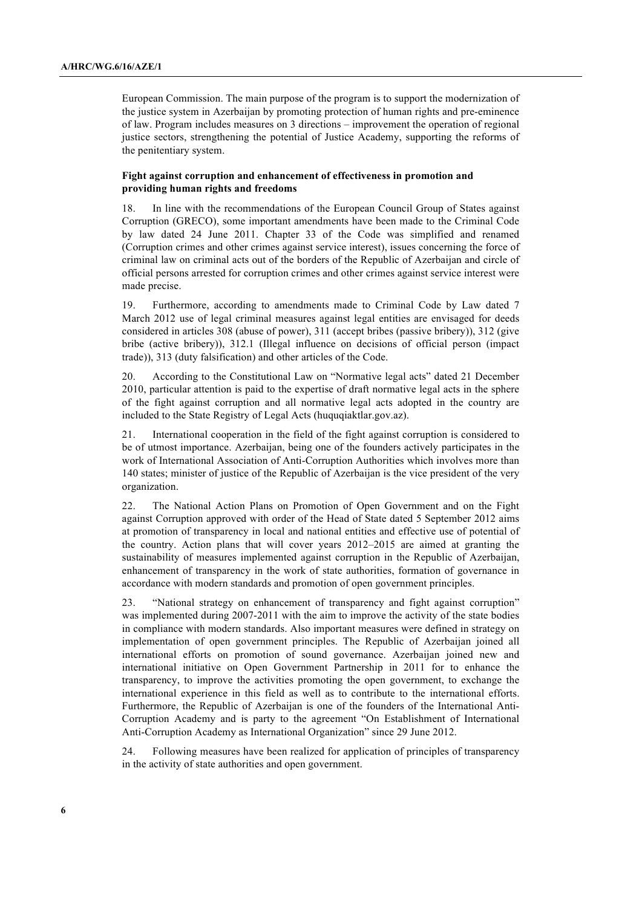European Commission. The main purpose of the program is to support the modernization of the justice system in Azerbaijan by promoting protection of human rights and pre-eminence of law. Program includes measures on 3 directions – improvement the operation of regional justice sectors, strengthening the potential of Justice Academy, supporting the reforms of the penitentiary system.

### **Fight against corruption and enhancement of effectiveness in promotion and providing human rights and freedoms**

18. In line with the recommendations of the European Council Group of States against Corruption (GRECO), some important amendments have been made to the Criminal Code by law dated 24 June 2011. Chapter 33 of the Code was simplified and renamed (Corruption crimes and other crimes against service interest), issues concerning the force of criminal law on criminal acts out of the borders of the Republic of Azerbaijan and circle of official persons arrested for corruption crimes and other crimes against service interest were made precise.

19. Furthermore, according to amendments made to Criminal Code by Law dated 7 March 2012 use of legal criminal measures against legal entities are envisaged for deeds considered in articles 308 (abuse of power), 311 (accept bribes (passive bribery)), 312 (give bribe (active bribery)), 312.1 (Illegal influence on decisions of official person (impact trade)), 313 (duty falsification) and other articles of the Code.

20. According to the Constitutional Law on "Normative legal acts" dated 21 December 2010, particular attention is paid to the expertise of draft normative legal acts in the sphere of the fight against corruption and all normative legal acts adopted in the country are included to the State Registry of Legal Acts (huquqiaktlar.gov.az).

21. International cooperation in the field of the fight against corruption is considered to be of utmost importance. Azerbaijan, being one of the founders actively participates in the work of International Association of Anti-Corruption Authorities which involves more than 140 states; minister of justice of the Republic of Azerbaijan is the vice president of the very organization.

22. The National Action Plans on Promotion of Open Government and on the Fight against Corruption approved with order of the Head of State dated 5 September 2012 aims at promotion of transparency in local and national entities and effective use of potential of the country. Action plans that will cover years 2012–2015 are aimed at granting the sustainability of measures implemented against corruption in the Republic of Azerbaijan, enhancement of transparency in the work of state authorities, formation of governance in accordance with modern standards and promotion of open government principles.

23. "National strategy on enhancement of transparency and fight against corruption" was implemented during 2007-2011 with the aim to improve the activity of the state bodies in compliance with modern standards. Also important measures were defined in strategy on implementation of open government principles. The Republic of Azerbaijan joined all international efforts on promotion of sound governance. Azerbaijan joined new and international initiative on Open Government Partnership in 2011 for to enhance the transparency, to improve the activities promoting the open government, to exchange the international experience in this field as well as to contribute to the international efforts. Furthermore, the Republic of Azerbaijan is one of the founders of the International Anti-Corruption Academy and is party to the agreement "On Establishment of International Anti-Corruption Academy as International Organization" since 29 June 2012.

24. Following measures have been realized for application of principles of transparency in the activity of state authorities and open government.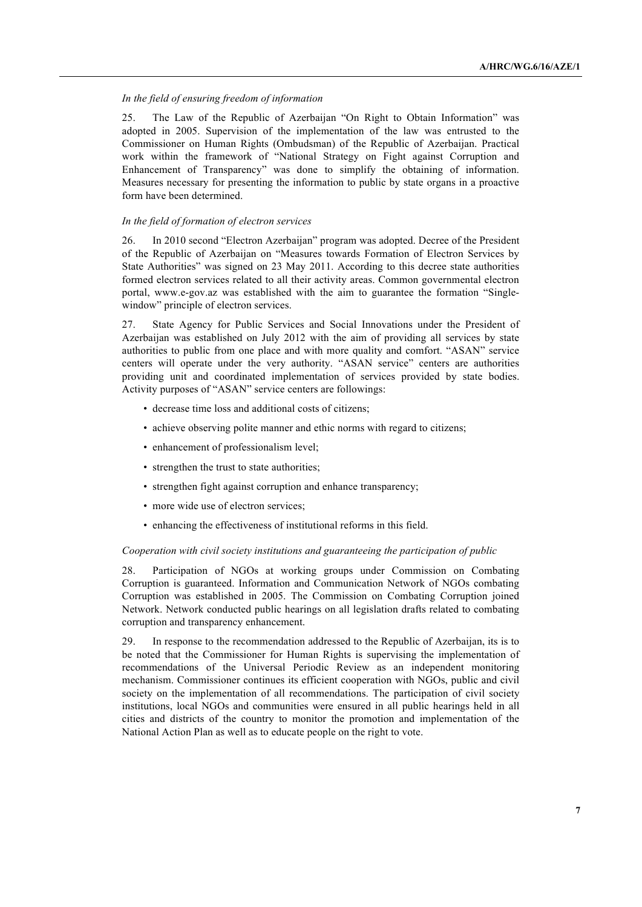### *In the field of ensuring freedom of information*

25. The Law of the Republic of Azerbaijan "On Right to Obtain Information" was adopted in 2005. Supervision of the implementation of the law was entrusted to the Commissioner on Human Rights (Ombudsman) of the Republic of Azerbaijan. Practical work within the framework of "National Strategy on Fight against Corruption and Enhancement of Transparency" was done to simplify the obtaining of information. Measures necessary for presenting the information to public by state organs in a proactive form have been determined.

### *In the field of formation of electron services*

26. In 2010 second "Electron Azerbaijan" program was adopted. Decree of the President of the Republic of Azerbaijan on "Measures towards Formation of Electron Services by State Authorities" was signed on 23 May 2011. According to this decree state authorities formed electron services related to all their activity areas. Common governmental electron portal, www.e-gov.az was established with the aim to guarantee the formation "Singlewindow" principle of electron services.

27. State Agency for Public Services and Social Innovations under the President of Azerbaijan was established on July 2012 with the aim of providing all services by state authorities to public from one place and with more quality and comfort. "ASAN" service centers will operate under the very authority. "ASAN service" centers are authorities providing unit and coordinated implementation of services provided by state bodies. Activity purposes of "ASAN" service centers are followings:

- decrease time loss and additional costs of citizens;
- achieve observing polite manner and ethic norms with regard to citizens;
- enhancement of professionalism level;
- strengthen the trust to state authorities;
- strengthen fight against corruption and enhance transparency;
- more wide use of electron services;
- enhancing the effectiveness of institutional reforms in this field.

### *Cooperation with civil society institutions and guaranteeing the participation of public*

28. Participation of NGOs at working groups under Commission on Combating Corruption is guaranteed. Information and Communication Network of NGOs combating Corruption was established in 2005. The Commission on Combating Corruption joined Network. Network conducted public hearings on all legislation drafts related to combating corruption and transparency enhancement.

29. In response to the recommendation addressed to the Republic of Azerbaijan, its is to be noted that the Commissioner for Human Rights is supervising the implementation of recommendations of the Universal Periodic Review as an independent monitoring mechanism. Commissioner continues its efficient cooperation with NGOs, public and civil society on the implementation of all recommendations. The participation of civil society institutions, local NGOs and communities were ensured in all public hearings held in all cities and districts of the country to monitor the promotion and implementation of the National Action Plan as well as to educate people on the right to vote.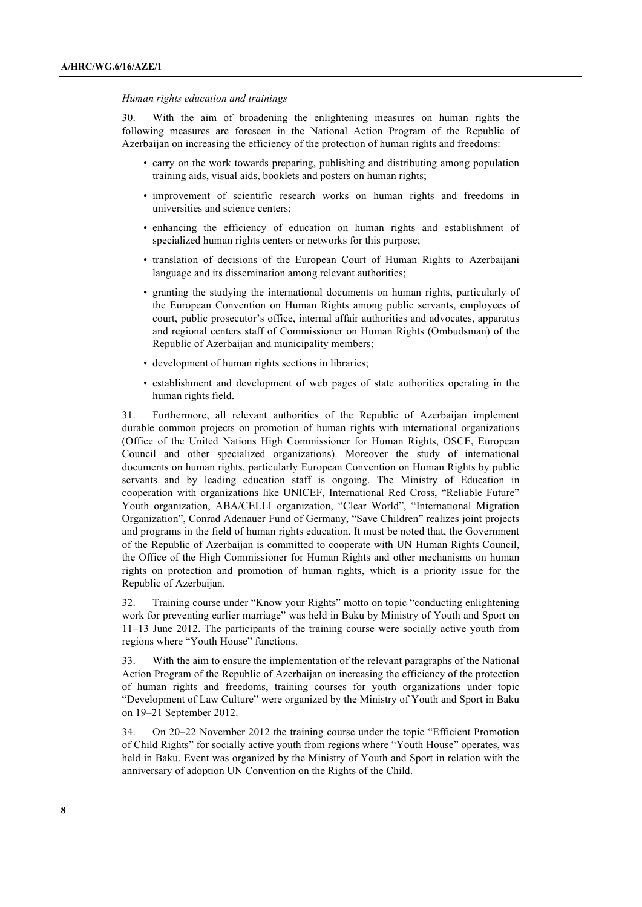#### *Human rights education and trainings*

30. With the aim of broadening the enlightening measures on human rights the following measures are foreseen in the National Action Program of the Republic of Azerbaijan on increasing the efficiency of the protection of human rights and freedoms:

- carry on the work towards preparing, publishing and distributing among population training aids, visual aids, booklets and posters on human rights;
- improvement of scientific research works on human rights and freedoms in universities and science centers;
- enhancing the efficiency of education on human rights and establishment of specialized human rights centers or networks for this purpose;
- translation of decisions of the European Court of Human Rights to Azerbaijani language and its dissemination among relevant authorities;
- granting the studying the international documents on human rights, particularly of the European Convention on Human Rights among public servants, employees of court, public prosecutor's office, internal affair authorities and advocates, apparatus and regional centers staff of Commissioner on Human Rights (Ombudsman) of the Republic of Azerbaijan and municipality members;
- development of human rights sections in libraries;
- establishment and development of web pages of state authorities operating in the human rights field.

31. Furthermore, all relevant authorities of the Republic of Azerbaijan implement durable common projects on promotion of human rights with international organizations (Office of the United Nations High Commissioner for Human Rights, OSCE, European Council and other specialized organizations). Moreover the study of international documents on human rights, particularly European Convention on Human Rights by public servants and by leading education staff is ongoing. The Ministry of Education in cooperation with organizations like UNICEF, International Red Cross, "Reliable Future" Youth organization, ABA/CELLI organization, "Clear World", "International Migration Organization", Conrad Adenauer Fund of Germany, "Save Children" realizes joint projects and programs in the field of human rights education. It must be noted that, the Government of the Republic of Azerbaijan is committed to cooperate with UN Human Rights Council, the Office of the High Commissioner for Human Rights and other mechanisms on human rights on protection and promotion of human rights, which is a priority issue for the Republic of Azerbaijan.

32. Training course under "Know your Rights" motto on topic "conducting enlightening work for preventing earlier marriage" was held in Baku by Ministry of Youth and Sport on 11–13 June 2012. The participants of the training course were socially active youth from regions where "Youth House" functions.

33. With the aim to ensure the implementation of the relevant paragraphs of the National Action Program of the Republic of Azerbaijan on increasing the efficiency of the protection of human rights and freedoms, training courses for youth organizations under topic "Development of Law Culture" were organized by the Ministry of Youth and Sport in Baku on 19–21 September 2012.

34. On 20–22 November 2012 the training course under the topic "Efficient Promotion of Child Rights" for socially active youth from regions where "Youth House" operates, was held in Baku. Event was organized by the Ministry of Youth and Sport in relation with the anniversary of adoption UN Convention on the Rights of the Child.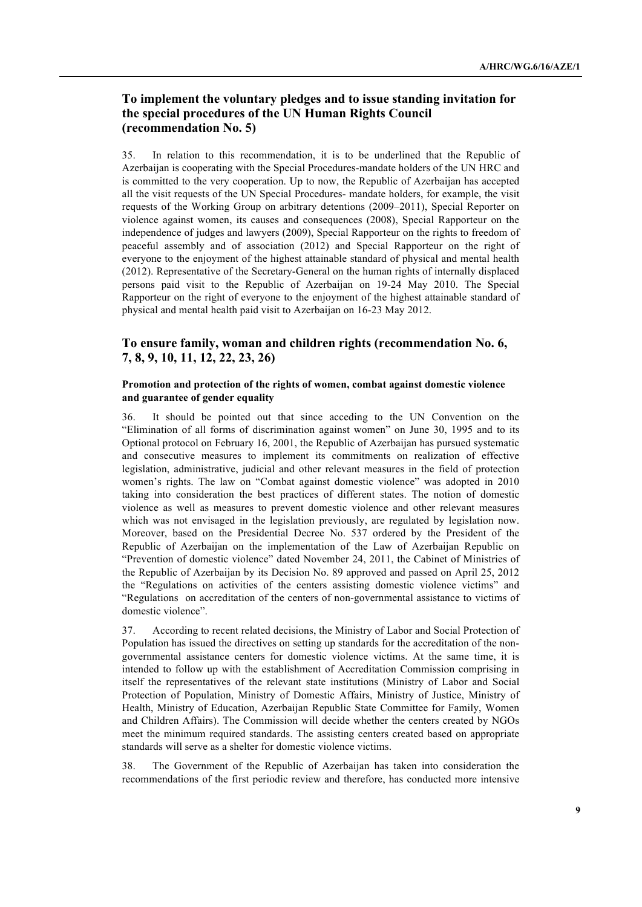### **To implement the voluntary pledges and to issue standing invitation for the special procedures of the UN Human Rights Council (recommendation No. 5)**

35. In relation to this recommendation, it is to be underlined that the Republic of Azerbaijan is cooperating with the Special Procedures-mandate holders of the UN HRC and is committed to the very cooperation. Up to now, the Republic of Azerbaijan has accepted all the visit requests of the UN Special Procedures- mandate holders, for example, the visit requests of the Working Group on arbitrary detentions (2009–2011), Special Reporter on violence against women, its causes and consequences (2008), Special Rapporteur on the independence of judges and lawyers (2009), Special Rapporteur on the rights to freedom of peaceful assembly and of association (2012) and Special Rapporteur on the right of everyone to the enjoyment of the highest attainable standard of physical and mental health (2012). Representative of the Secretary-General on the human rights of internally displaced persons paid visit to the Republic of Azerbaijan on 19-24 May 2010. The Special Rapporteur on the right of everyone to the enjoyment of the highest attainable standard of physical and mental health paid visit to Azerbaijan on 16-23 May 2012.

# **To ensure family, woman and children rights (recommendation No. 6, 7, 8, 9, 10, 11, 12, 22, 23, 26)**

### **Promotion and protection of the rights of women, combat against domestic violence and guarantee of gender equality**

36. It should be pointed out that since acceding to the UN Convention on the "Elimination of all forms of discrimination against women" on June 30, 1995 and to its Optional protocol on February 16, 2001, the Republic of Azerbaijan has pursued systematic and consecutive measures to implement its commitments on realization of effective legislation, administrative, judicial and other relevant measures in the field of protection women's rights. The law on "Combat against domestic violence" was adopted in 2010 taking into consideration the best practices of different states. The notion of domestic violence as well as measures to prevent domestic violence and other relevant measures which was not envisaged in the legislation previously, are regulated by legislation now. Moreover, based on the Presidential Decree No. 537 ordered by the President of the Republic of Azerbaijan on the implementation of the Law of Azerbaijan Republic on "Prevention of domestic violence" dated November 24, 2011, the Cabinet of Ministries of the Republic of Azerbaijan by its Decision No. 89 approved and passed on April 25, 2012 the "Regulations on activities of the centers assisting domestic violence victims" and "Regulations on accreditation of the centers of non-governmental assistance to victims of domestic violence".

37. According to recent related decisions, the Ministry of Labor and Social Protection of Population has issued the directives on setting up standards for the accreditation of the nongovernmental assistance centers for domestic violence victims. At the same time, it is intended to follow up with the establishment of Accreditation Commission comprising in itself the representatives of the relevant state institutions (Ministry of Labor and Social Protection of Population, Ministry of Domestic Affairs, Ministry of Justice, Ministry of Health, Ministry of Education, Azerbaijan Republic State Committee for Family, Women and Children Affairs). The Commission will decide whether the centers created by NGOs meet the minimum required standards. The assisting centers created based on appropriate standards will serve as a shelter for domestic violence victims.

38. The Government of the Republic of Azerbaijan has taken into consideration the recommendations of the first periodic review and therefore, has conducted more intensive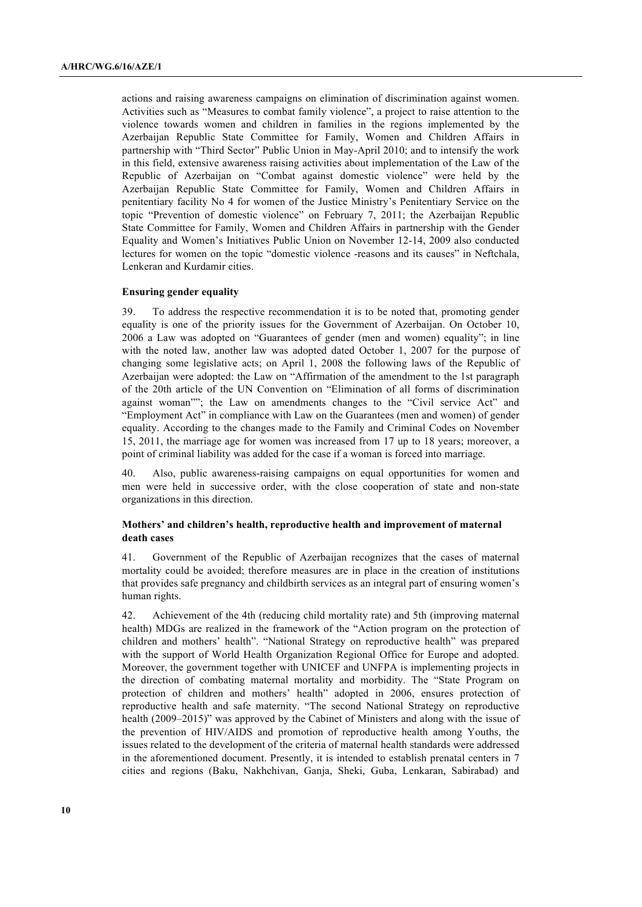actions and raising awareness campaigns on elimination of discrimination against women. Activities such as "Measures to combat family violence", a project to raise attention to the violence towards women and children in families in the regions implemented by the Azerbaijan Republic State Committee for Family, Women and Children Affairs in partnership with "Third Sector" Public Union in May-April 2010; and to intensify the work in this field, extensive awareness raising activities about implementation of the Law of the Republic of Azerbaijan on "Combat against domestic violence" were held by the Azerbaijan Republic State Committee for Family, Women and Children Affairs in penitentiary facility No 4 for women of the Justice Ministry's Penitentiary Service on the topic "Prevention of domestic violence" on February 7, 2011; the Azerbaijan Republic State Committee for Family, Women and Children Affairs in partnership with the Gender Equality and Women's Initiatives Public Union on November 12-14, 2009 also conducted lectures for women on the topic "domestic violence -reasons and its causes" in Neftchala, Lenkeran and Kurdamir cities.

#### **Ensuring gender equality**

39. To address the respective recommendation it is to be noted that, promoting gender equality is one of the priority issues for the Government of Azerbaijan. On October 10, 2006 a Law was adopted on "Guarantees of gender (men and women) equality"; in line with the noted law, another law was adopted dated October 1, 2007 for the purpose of changing some legislative acts; on April 1, 2008 the following laws of the Republic of Azerbaijan were adopted: the Law on "Affirmation of the amendment to the 1st paragraph of the 20th article of the UN Convention on "Elimination of all forms of discrimination against woman""; the Law on amendments changes to the "Civil service Act" and "Employment Act" in compliance with Law on the Guarantees (men and women) of gender equality. According to the changes made to the Family and Criminal Codes on November 15, 2011, the marriage age for women was increased from 17 up to 18 years; moreover, a point of criminal liability was added for the case if a woman is forced into marriage.

40. Also, public awareness-raising campaigns on equal opportunities for women and men were held in successive order, with the close cooperation of state and non-state organizations in this direction.

### **Mothers' and children's health, reproductive health and improvement of maternal death cases**

41. Government of the Republic of Azerbaijan recognizes that the cases of maternal mortality could be avoided; therefore measures are in place in the creation of institutions that provides safe pregnancy and childbirth services as an integral part of ensuring women's human rights.

42. Achievement of the 4th (reducing child mortality rate) and 5th (improving maternal health) MDGs are realized in the framework of the "Action program on the protection of children and mothers' health". "National Strategy on reproductive health" was prepared with the support of World Health Organization Regional Office for Europe and adopted. Moreover, the government together with UNICEF and UNFPA is implementing projects in the direction of combating maternal mortality and morbidity. The "State Program on protection of children and mothers' health" adopted in 2006, ensures protection of reproductive health and safe maternity. "The second National Strategy on reproductive health (2009–2015)" was approved by the Cabinet of Ministers and along with the issue of the prevention of HIV/AIDS and promotion of reproductive health among Youths, the issues related to the development of the criteria of maternal health standards were addressed in the aforementioned document. Presently, it is intended to establish prenatal centers in 7 cities and regions (Baku, Nakhchivan, Ganja, Sheki, Guba, Lenkaran, Sabirabad) and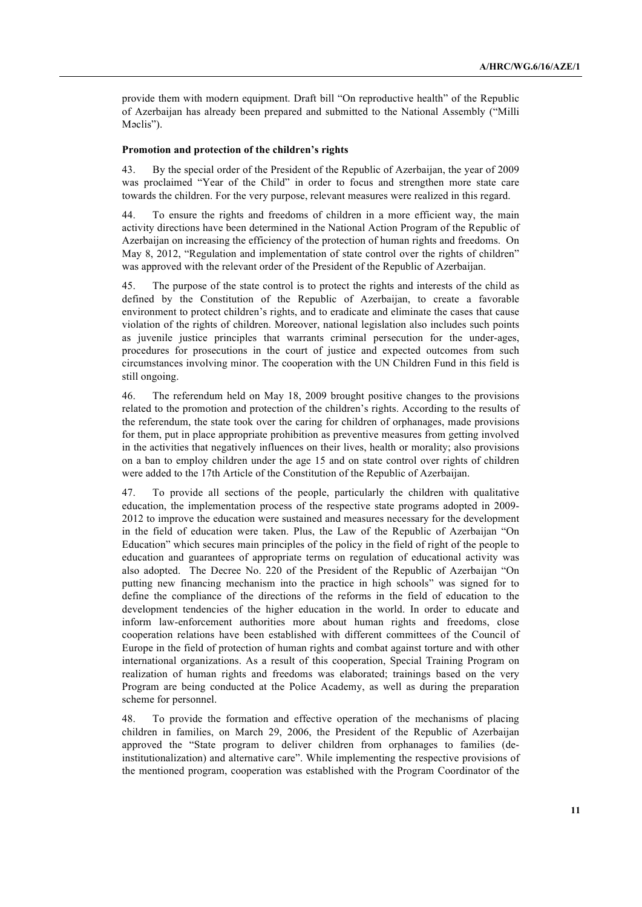provide them with modern equipment. Draft bill "On reproductive health" of the Republic of Azerbaijan has already been prepared and submitted to the National Assembly ("Milli Məclis").

#### **Promotion and protection of the children's rights**

43. By the special order of the President of the Republic of Azerbaijan, the year of 2009 was proclaimed "Year of the Child" in order to focus and strengthen more state care towards the children. For the very purpose, relevant measures were realized in this regard.

44. To ensure the rights and freedoms of children in a more efficient way, the main activity directions have been determined in the National Action Program of the Republic of Azerbaijan on increasing the efficiency of the protection of human rights and freedoms. On May 8, 2012, "Regulation and implementation of state control over the rights of children" was approved with the relevant order of the President of the Republic of Azerbaijan.

45. The purpose of the state control is to protect the rights and interests of the child as defined by the Constitution of the Republic of Azerbaijan, to create a favorable environment to protect children's rights, and to eradicate and eliminate the cases that cause violation of the rights of children. Moreover, national legislation also includes such points as juvenile justice principles that warrants criminal persecution for the under-ages, procedures for prosecutions in the court of justice and expected outcomes from such circumstances involving minor. The cooperation with the UN Children Fund in this field is still ongoing.

46. The referendum held on May 18, 2009 brought positive changes to the provisions related to the promotion and protection of the children's rights. According to the results of the referendum, the state took over the caring for children of orphanages, made provisions for them, put in place appropriate prohibition as preventive measures from getting involved in the activities that negatively influences on their lives, health or morality; also provisions on a ban to employ children under the age 15 and on state control over rights of children were added to the 17th Article of the Constitution of the Republic of Azerbaijan.

47. To provide all sections of the people, particularly the children with qualitative education, the implementation process of the respective state programs adopted in 2009- 2012 to improve the education were sustained and measures necessary for the development in the field of education were taken. Plus, the Law of the Republic of Azerbaijan "On Education" which secures main principles of the policy in the field of right of the people to education and guarantees of appropriate terms on regulation of educational activity was also adopted. The Decree No. 220 of the President of the Republic of Azerbaijan "On putting new financing mechanism into the practice in high schools" was signed for to define the compliance of the directions of the reforms in the field of education to the development tendencies of the higher education in the world. In order to educate and inform law-enforcement authorities more about human rights and freedoms, close cooperation relations have been established with different committees of the Council of Europe in the field of protection of human rights and combat against torture and with other international organizations. As a result of this cooperation, Special Training Program on realization of human rights and freedoms was elaborated; trainings based on the very Program are being conducted at the Police Academy, as well as during the preparation scheme for personnel.

48. To provide the formation and effective operation of the mechanisms of placing children in families, on March 29, 2006, the President of the Republic of Azerbaijan approved the "State program to deliver children from orphanages to families (deinstitutionalization) and alternative care". While implementing the respective provisions of the mentioned program, cooperation was established with the Program Coordinator of the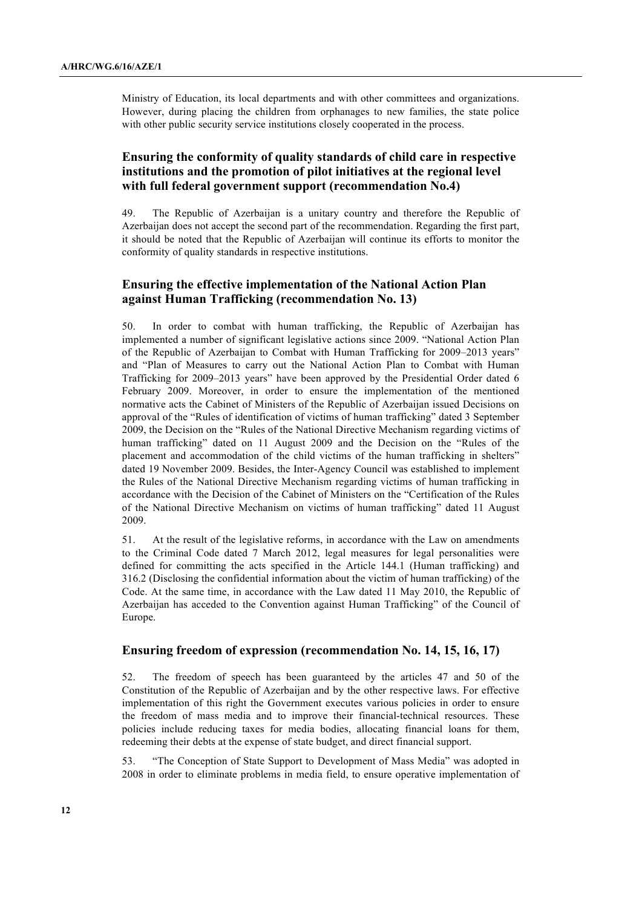Ministry of Education, its local departments and with other committees and organizations. However, during placing the children from orphanages to new families, the state police with other public security service institutions closely cooperated in the process.

# **Ensuring the conformity of quality standards of child care in respective institutions and the promotion of pilot initiatives at the regional level with full federal government support (recommendation No.4)**

49. The Republic of Azerbaijan is a unitary country and therefore the Republic of Azerbaijan does not accept the second part of the recommendation. Regarding the first part, it should be noted that the Republic of Azerbaijan will continue its efforts to monitor the conformity of quality standards in respective institutions.

### **Ensuring the effective implementation of the National Action Plan against Human Trafficking (recommendation No. 13)**

50. In order to combat with human trafficking, the Republic of Azerbaijan has implemented a number of significant legislative actions since 2009. "National Action Plan of the Republic of Azerbaijan to Combat with Human Trafficking for 2009–2013 years" and "Plan of Measures to carry out the National Action Plan to Combat with Human Trafficking for 2009–2013 years" have been approved by the Presidential Order dated 6 February 2009. Moreover, in order to ensure the implementation of the mentioned normative acts the Cabinet of Ministers of the Republic of Azerbaijan issued Decisions on approval of the "Rules of identification of victims of human trafficking" dated 3 September 2009, the Decision on the "Rules of the National Directive Mechanism regarding victims of human trafficking" dated on 11 August 2009 and the Decision on the "Rules of the placement and accommodation of the child victims of the human trafficking in shelters" dated 19 November 2009. Besides, the Inter-Agency Council was established to implement the Rules of the National Directive Mechanism regarding victims of human trafficking in accordance with the Decision of the Cabinet of Ministers on the "Certification of the Rules of the National Directive Mechanism on victims of human trafficking" dated 11 August 2009.

51. At the result of the legislative reforms, in accordance with the Law on amendments to the Criminal Code dated 7 March 2012, legal measures for legal personalities were defined for committing the acts specified in the Article 144.1 (Human trafficking) and 316.2 (Disclosing the confidential information about the victim of human trafficking) of the Code. At the same time, in accordance with the Law dated 11 May 2010, the Republic of Azerbaijan has acceded to the Convention against Human Trafficking" of the Council of Europe.

### **Ensuring freedom of expression (recommendation No. 14, 15, 16, 17)**

52. The freedom of speech has been guaranteed by the articles 47 and 50 of the Constitution of the Republic of Azerbaijan and by the other respective laws. For effective implementation of this right the Government executes various policies in order to ensure the freedom of mass media and to improve their financial-technical resources. These policies include reducing taxes for media bodies, allocating financial loans for them, redeeming their debts at the expense of state budget, and direct financial support.

53. "The Conception of State Support to Development of Mass Media" was adopted in 2008 in order to eliminate problems in media field, to ensure operative implementation of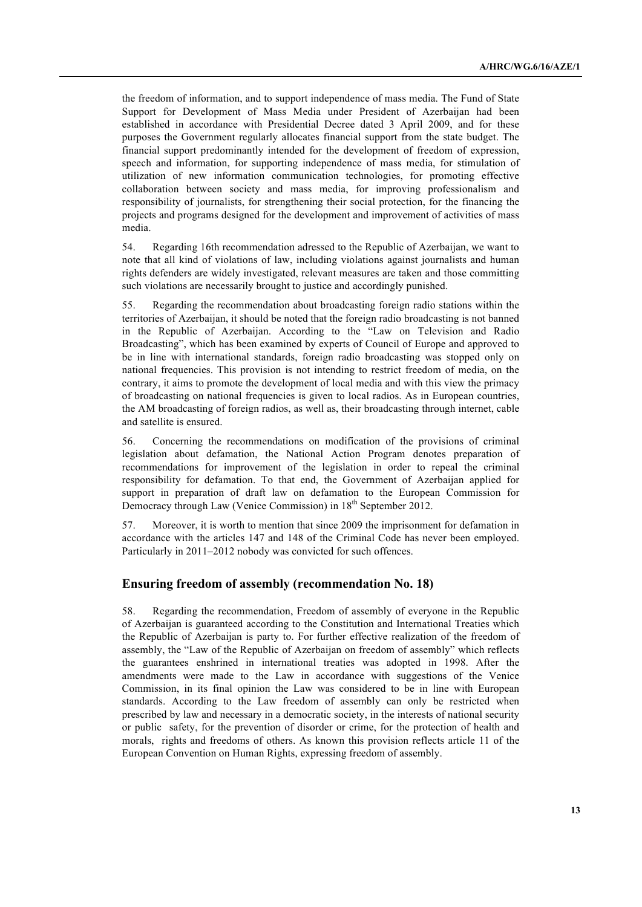the freedom of information, and to support independence of mass media. The Fund of State Support for Development of Mass Media under President of Azerbaijan had been established in accordance with Presidential Decree dated 3 April 2009, and for these purposes the Government regularly allocates financial support from the state budget. The financial support predominantly intended for the development of freedom of expression, speech and information, for supporting independence of mass media, for stimulation of utilization of new information communication technologies, for promoting effective collaboration between society and mass media, for improving professionalism and responsibility of journalists, for strengthening their social protection, for the financing the projects and programs designed for the development and improvement of activities of mass media.

54. Regarding 16th recommendation adressed to the Republic of Azerbaijan, we want to note that all kind of violations of law, including violations against journalists and human rights defenders are widely investigated, relevant measures are taken and those committing such violations are necessarily brought to justice and accordingly punished.

55. Regarding the recommendation about broadcasting foreign radio stations within the territories of Azerbaijan, it should be noted that the foreign radio broadcasting is not banned in the Republic of Azerbaijan. According to the "Law on Television and Radio Broadcasting", which has been examined by experts of Council of Europe and approved to be in line with international standards, foreign radio broadcasting was stopped only on national frequencies. This provision is not intending to restrict freedom of media, on the contrary, it aims to promote the development of local media and with this view the primacy of broadcasting on national frequencies is given to local radios. As in European countries, the AM broadcasting of foreign radios, as well as, their broadcasting through internet, cable and satellite is ensured.

56. Concerning the recommendations on modification of the provisions of criminal legislation about defamation, the National Action Program denotes preparation of recommendations for improvement of the legislation in order to repeal the criminal responsibility for defamation. To that end, the Government of Azerbaijan applied for support in preparation of draft law on defamation to the European Commission for Democracy through Law (Venice Commission) in 18<sup>th</sup> September 2012.

57. Moreover, it is worth to mention that since 2009 the imprisonment for defamation in accordance with the articles 147 and 148 of the Criminal Code has never been employed. Particularly in 2011–2012 nobody was convicted for such offences.

### **Ensuring freedom of assembly (recommendation No. 18)**

58. Regarding the recommendation, Freedom of assembly of everyone in the Republic of Azerbaijan is guaranteed according to the Constitution and International Treaties which the Republic of Azerbaijan is party to. For further effective realization of the freedom of assembly, the "Law of the Republic of Azerbaijan on freedom of assembly" which reflects the guarantees enshrined in international treaties was adopted in 1998. After the amendments were made to the Law in accordance with suggestions of the Venice Commission, in its final opinion the Law was considered to be in line with European standards. According to the Law freedom of assembly can only be restricted when prescribed by law and necessary in a democratic society, in the interests of national security or public safety, for the prevention of disorder or crime, for the protection of health and morals, rights and freedoms of others. As known this provision reflects article 11 of the European Convention on Human Rights, expressing freedom of assembly.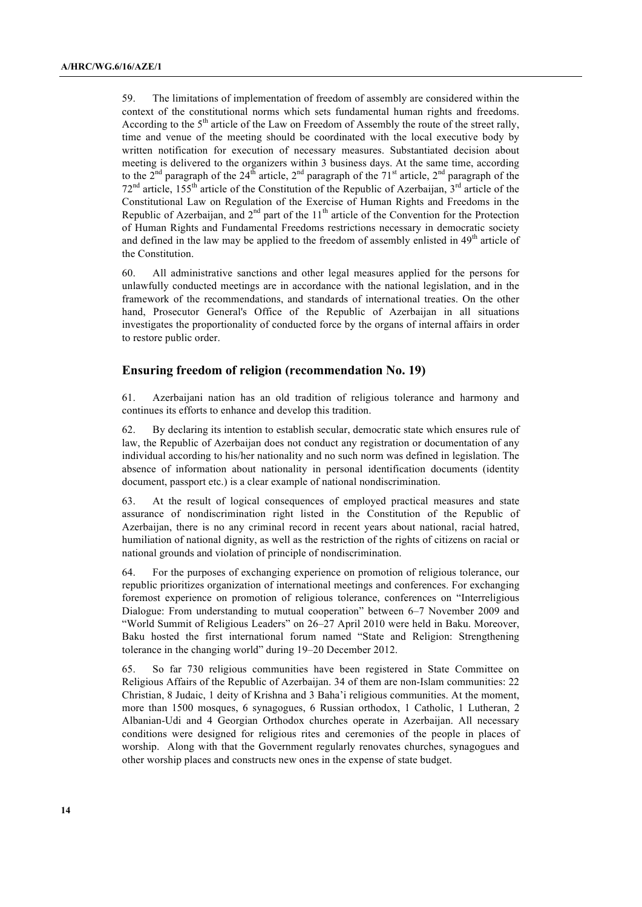59. The limitations of implementation of freedom of assembly are considered within the context of the constitutional norms which sets fundamental human rights and freedoms. According to the  $5<sup>th</sup>$  article of the Law on Freedom of Assembly the route of the street rally. time and venue of the meeting should be coordinated with the local executive body by written notification for execution of necessary measures. Substantiated decision about meeting is delivered to the organizers within 3 business days. At the same time, according to the 2<sup>nd</sup> paragraph of the 24<sup>th</sup> article, 2<sup>nd</sup> paragraph of the 71<sup>st</sup> article, 2<sup>nd</sup> paragraph of the 72<sup>nd</sup> article, 155<sup>th</sup> article of the Constitution of the Republic of Azerbaijan, 3<sup>rd</sup> article of the Constitutional Law on Regulation of the Exercise of Human Rights and Freedoms in the Republic of Azerbaijan, and  $2<sup>nd</sup>$  part of the 11<sup>th</sup> article of the Convention for the Protection of Human Rights and Fundamental Freedoms restrictions necessary in democratic society and defined in the law may be applied to the freedom of assembly enlisted in  $49<sup>th</sup>$  article of the Constitution.

60. All administrative sanctions and other legal measures applied for the persons for unlawfully conducted meetings are in accordance with the national legislation, and in the framework of the recommendations, and standards of international treaties. On the other hand, Prosecutor General's Office of the Republic of Azerbaijan in all situations investigates the proportionality of conducted force by the organs of internal affairs in order to restore public order.

### **Ensuring freedom of religion (recommendation No. 19)**

61. Azerbaijani nation has an old tradition of religious tolerance and harmony and continues its efforts to enhance and develop this tradition.

62. By declaring its intention to establish secular, democratic state which ensures rule of law, the Republic of Azerbaijan does not conduct any registration or documentation of any individual according to his/her nationality and no such norm was defined in legislation. The absence of information about nationality in personal identification documents (identity document, passport etc.) is a clear example of national nondiscrimination.

63. At the result of logical consequences of employed practical measures and state assurance of nondiscrimination right listed in the Constitution of the Republic of Azerbaijan, there is no any criminal record in recent years about national, racial hatred, humiliation of national dignity, as well as the restriction of the rights of citizens on racial or national grounds and violation of principle of nondiscrimination.

64. For the purposes of exchanging experience on promotion of religious tolerance, our republic prioritizes organization of international meetings and conferences. For exchanging foremost experience on promotion of religious tolerance, conferences on "Interreligious Dialogue: From understanding to mutual cooperation" between 6–7 November 2009 and "World Summit of Religious Leaders" on 26–27 April 2010 were held in Baku. Moreover, Baku hosted the first international forum named "State and Religion: Strengthening tolerance in the changing world" during 19–20 December 2012.

65. So far 730 religious communities have been registered in State Committee on Religious Affairs of the Republic of Azerbaijan. 34 of them are non-Islam communities: 22 Christian, 8 Judaic, 1 deity of Krishna and 3 Baha'i religious communities. At the moment, more than 1500 mosques, 6 synagogues, 6 Russian orthodox, 1 Catholic, 1 Lutheran, 2 Albanian-Udi and 4 Georgian Orthodox churches operate in Azerbaijan. All necessary conditions were designed for religious rites and ceremonies of the people in places of worship. Along with that the Government regularly renovates churches, synagogues and other worship places and constructs new ones in the expense of state budget.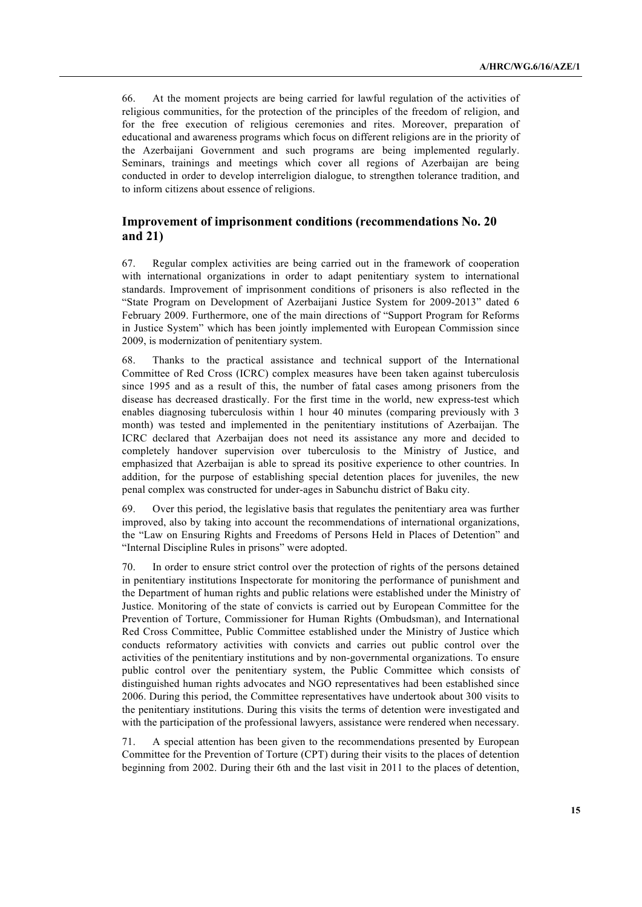66. At the moment projects are being carried for lawful regulation of the activities of religious communities, for the protection of the principles of the freedom of religion, and for the free execution of religious ceremonies and rites. Moreover, preparation of educational and awareness programs which focus on different religions are in the priority of the Azerbaijani Government and such programs are being implemented regularly. Seminars, trainings and meetings which cover all regions of Azerbaijan are being conducted in order to develop interreligion dialogue, to strengthen tolerance tradition, and to inform citizens about essence of religions.

# **Improvement of imprisonment conditions (recommendations No. 20 and 21)**

67. Regular complex activities are being carried out in the framework of cooperation with international organizations in order to adapt penitentiary system to international standards. Improvement of imprisonment conditions of prisoners is also reflected in the "State Program on Development of Azerbaijani Justice System for 2009-2013" dated 6 February 2009. Furthermore, one of the main directions of "Support Program for Reforms in Justice System" which has been jointly implemented with European Commission since 2009, is modernization of penitentiary system.

68. Thanks to the practical assistance and technical support of the International Committee of Red Cross (ICRC) complex measures have been taken against tuberculosis since 1995 and as a result of this, the number of fatal cases among prisoners from the disease has decreased drastically. For the first time in the world, new express-test which enables diagnosing tuberculosis within 1 hour 40 minutes (comparing previously with 3 month) was tested and implemented in the penitentiary institutions of Azerbaijan. The ICRC declared that Azerbaijan does not need its assistance any more and decided to completely handover supervision over tuberculosis to the Ministry of Justice, and emphasized that Azerbaijan is able to spread its positive experience to other countries. In addition, for the purpose of establishing special detention places for juveniles, the new penal complex was constructed for under-ages in Sabunchu district of Baku city.

69. Over this period, the legislative basis that regulates the penitentiary area was further improved, also by taking into account the recommendations of international organizations, the "Law on Ensuring Rights and Freedoms of Persons Held in Places of Detention" and "Internal Discipline Rules in prisons" were adopted.

70. In order to ensure strict control over the protection of rights of the persons detained in penitentiary institutions Inspectorate for monitoring the performance of punishment and the Department of human rights and public relations were established under the Ministry of Justice. Monitoring of the state of convicts is carried out by European Committee for the Prevention of Torture, Commissioner for Human Rights (Ombudsman), and International Red Cross Committee, Public Committee established under the Ministry of Justice which conducts reformatory activities with convicts and carries out public control over the activities of the penitentiary institutions and by non-governmental organizations. To ensure public control over the penitentiary system, the Public Committee which consists of distinguished human rights advocates and NGO representatives had been established since 2006. During this period, the Committee representatives have undertook about 300 visits to the penitentiary institutions. During this visits the terms of detention were investigated and with the participation of the professional lawyers, assistance were rendered when necessary.

71. A special attention has been given to the recommendations presented by European Committee for the Prevention of Torture (CPT) during their visits to the places of detention beginning from 2002. During their 6th and the last visit in 2011 to the places of detention,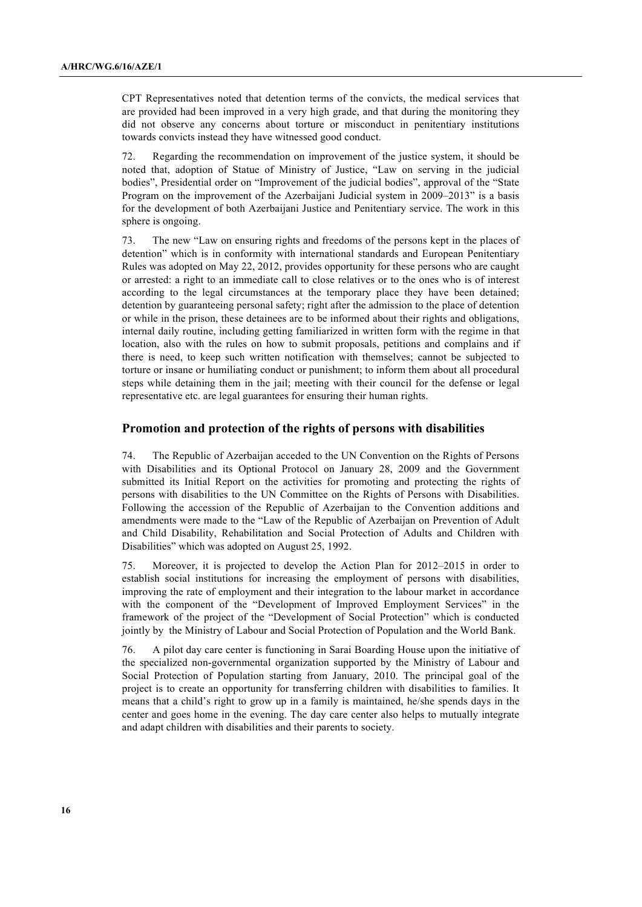CPT Representatives noted that detention terms of the convicts, the medical services that are provided had been improved in a very high grade, and that during the monitoring they did not observe any concerns about torture or misconduct in penitentiary institutions towards convicts instead they have witnessed good conduct.

72. Regarding the recommendation on improvement of the justice system, it should be noted that, adoption of Statue of Ministry of Justice, "Law on serving in the judicial bodies", Presidential order on "Improvement of the judicial bodies", approval of the "State Program on the improvement of the Azerbaijani Judicial system in 2009–2013" is a basis for the development of both Azerbaijani Justice and Penitentiary service. The work in this sphere is ongoing.

73. The new "Law on ensuring rights and freedoms of the persons kept in the places of detention" which is in conformity with international standards and European Penitentiary Rules was adopted on May 22, 2012, provides opportunity for these persons who are caught or arrested: a right to an immediate call to close relatives or to the ones who is of interest according to the legal circumstances at the temporary place they have been detained; detention by guaranteeing personal safety; right after the admission to the place of detention or while in the prison, these detainees are to be informed about their rights and obligations, internal daily routine, including getting familiarized in written form with the regime in that location, also with the rules on how to submit proposals, petitions and complains and if there is need, to keep such written notification with themselves; cannot be subjected to torture or insane or humiliating conduct or punishment; to inform them about all procedural steps while detaining them in the jail; meeting with their council for the defense or legal representative etc. are legal guarantees for ensuring their human rights.

### **Promotion and protection of the rights of persons with disabilities**

74. The Republic of Azerbaijan acceded to the UN Convention on the Rights of Persons with Disabilities and its Optional Protocol on January 28, 2009 and the Government submitted its Initial Report on the activities for promoting and protecting the rights of persons with disabilities to the UN Committee on the Rights of Persons with Disabilities. Following the accession of the Republic of Azerbaijan to the Convention additions and amendments were made to the "Law of the Republic of Azerbaijan on Prevention of Adult and Child Disability, Rehabilitation and Social Protection of Adults and Children with Disabilities" which was adopted on August 25, 1992.

75. Moreover, it is projected to develop the Action Plan for 2012–2015 in order to establish social institutions for increasing the employment of persons with disabilities, improving the rate of employment and their integration to the labour market in accordance with the component of the "Development of Improved Employment Services" in the framework of the project of the "Development of Social Protection" which is conducted jointly by the Ministry of Labour and Social Protection of Population and the World Bank.

76. A pilot day care center is functioning in Sarai Boarding House upon the initiative of the specialized non-governmental organization supported by the Ministry of Labour and Social Protection of Population starting from January, 2010. The principal goal of the project is to create an opportunity for transferring children with disabilities to families. It means that a child's right to grow up in a family is maintained, he/she spends days in the center and goes home in the evening. The day care center also helps to mutually integrate and adapt children with disabilities and their parents to society.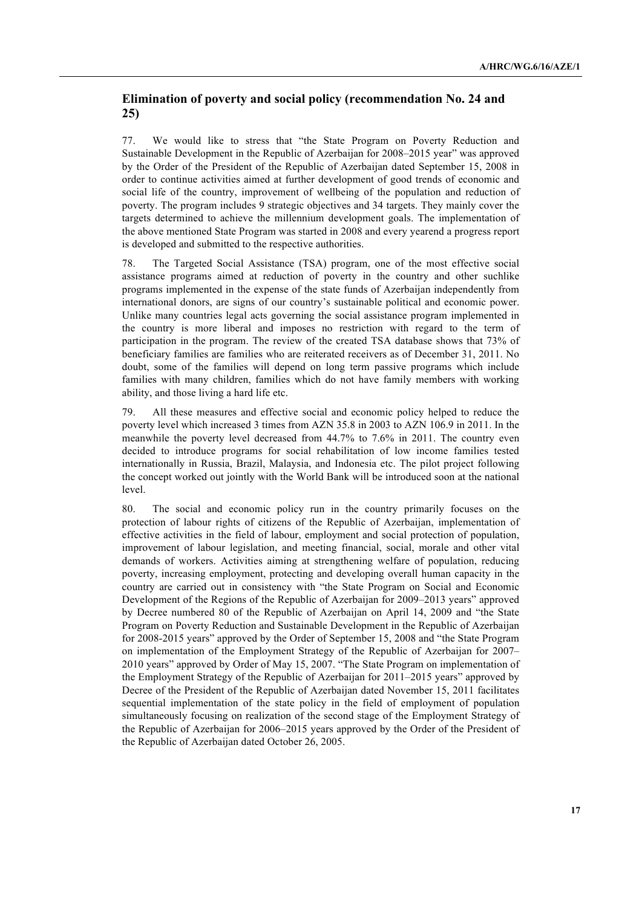# **Elimination of poverty and social policy (recommendation No. 24 and 25)**

77. We would like to stress that "the State Program on Poverty Reduction and Sustainable Development in the Republic of Azerbaijan for 2008–2015 year" was approved by the Order of the President of the Republic of Azerbaijan dated September 15, 2008 in order to continue activities aimed at further development of good trends of economic and social life of the country, improvement of wellbeing of the population and reduction of poverty. The program includes 9 strategic objectives and 34 targets. They mainly cover the targets determined to achieve the millennium development goals. The implementation of the above mentioned State Program was started in 2008 and every yearend a progress report is developed and submitted to the respective authorities.

78. The Targeted Social Assistance (TSA) program, one of the most effective social assistance programs aimed at reduction of poverty in the country and other suchlike programs implemented in the expense of the state funds of Azerbaijan independently from international donors, are signs of our country's sustainable political and economic power. Unlike many countries legal acts governing the social assistance program implemented in the country is more liberal and imposes no restriction with regard to the term of participation in the program. The review of the created TSA database shows that 73% of beneficiary families are families who are reiterated receivers as of December 31, 2011. No doubt, some of the families will depend on long term passive programs which include families with many children, families which do not have family members with working ability, and those living a hard life etc.

79. All these measures and effective social and economic policy helped to reduce the poverty level which increased 3 times from AZN 35.8 in 2003 to AZN 106.9 in 2011. In the meanwhile the poverty level decreased from 44.7% to 7.6% in 2011. The country even decided to introduce programs for social rehabilitation of low income families tested internationally in Russia, Brazil, Malaysia, and Indonesia etc. The pilot project following the concept worked out jointly with the World Bank will be introduced soon at the national level.

80. The social and economic policy run in the country primarily focuses on the protection of labour rights of citizens of the Republic of Azerbaijan, implementation of effective activities in the field of labour, employment and social protection of population, improvement of labour legislation, and meeting financial, social, morale and other vital demands of workers. Activities aiming at strengthening welfare of population, reducing poverty, increasing employment, protecting and developing overall human capacity in the country are carried out in consistency with "the State Program on Social and Economic Development of the Regions of the Republic of Azerbaijan for 2009–2013 years" approved by Decree numbered 80 of the Republic of Azerbaijan on April 14, 2009 and "the State Program on Poverty Reduction and Sustainable Development in the Republic of Azerbaijan for 2008-2015 years" approved by the Order of September 15, 2008 and "the State Program on implementation of the Employment Strategy of the Republic of Azerbaijan for 2007– 2010 years" approved by Order of May 15, 2007. "The State Program on implementation of the Employment Strategy of the Republic of Azerbaijan for 2011–2015 years" approved by Decree of the President of the Republic of Azerbaijan dated November 15, 2011 facilitates sequential implementation of the state policy in the field of employment of population simultaneously focusing on realization of the second stage of the Employment Strategy of the Republic of Azerbaijan for 2006–2015 years approved by the Order of the President of the Republic of Azerbaijan dated October 26, 2005.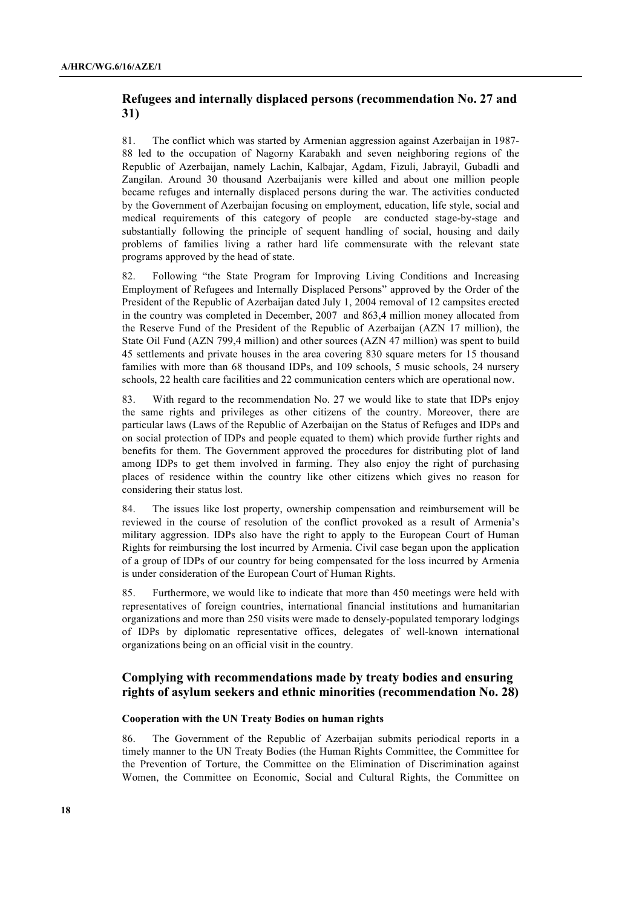# **Refugees and internally displaced persons (recommendation No. 27 and 31)**

81. The conflict which was started by Armenian aggression against Azerbaijan in 1987- 88 led to the occupation of Nagorny Karabakh and seven neighboring regions of the Republic of Azerbaijan, namely Lachin, Kalbajar, Agdam, Fizuli, Jabrayil, Gubadli and Zangilan. Around 30 thousand Azerbaijanis were killed and about one million people became refuges and internally displaced persons during the war. The activities conducted by the Government of Azerbaijan focusing on employment, education, life style, social and medical requirements of this category of people are conducted stage-by-stage and substantially following the principle of sequent handling of social, housing and daily problems of families living a rather hard life commensurate with the relevant state programs approved by the head of state.

82. Following "the State Program for Improving Living Conditions and Increasing Employment of Refugees and Internally Displaced Persons" approved by the Order of the President of the Republic of Azerbaijan dated July 1, 2004 removal of 12 campsites erected in the country was completed in December, 2007 and 863,4 million money allocated from the Reserve Fund of the President of the Republic of Azerbaijan (AZN 17 million), the State Oil Fund (AZN 799,4 million) and other sources (AZN 47 million) was spent to build 45 settlements and private houses in the area covering 830 square meters for 15 thousand families with more than 68 thousand IDPs, and 109 schools, 5 music schools, 24 nursery schools, 22 health care facilities and 22 communication centers which are operational now.

83. With regard to the recommendation No. 27 we would like to state that IDPs enjoy the same rights and privileges as other citizens of the country. Moreover, there are particular laws (Laws of the Republic of Azerbaijan on the Status of Refuges and IDPs and on social protection of IDPs and people equated to them) which provide further rights and benefits for them. The Government approved the procedures for distributing plot of land among IDPs to get them involved in farming. They also enjoy the right of purchasing places of residence within the country like other citizens which gives no reason for considering their status lost.

84. The issues like lost property, ownership compensation and reimbursement will be reviewed in the course of resolution of the conflict provoked as a result of Armenia's military aggression. IDPs also have the right to apply to the European Court of Human Rights for reimbursing the lost incurred by Armenia. Civil case began upon the application of a group of IDPs of our country for being compensated for the loss incurred by Armenia is under consideration of the European Court of Human Rights.

85. Furthermore, we would like to indicate that more than 450 meetings were held with representatives of foreign countries, international financial institutions and humanitarian organizations and more than 250 visits were made to densely-populated temporary lodgings of IDPs by diplomatic representative offices, delegates of well-known international organizations being on an official visit in the country.

# **Complying with recommendations made by treaty bodies and ensuring rights of asylum seekers and ethnic minorities (recommendation No. 28)**

#### **Cooperation with the UN Treaty Bodies on human rights**

86. The Government of the Republic of Azerbaijan submits periodical reports in a timely manner to the UN Treaty Bodies (the Human Rights Committee, the Committee for the Prevention of Torture, the Committee on the Elimination of Discrimination against Women, the Committee on Economic, Social and Cultural Rights, the Committee on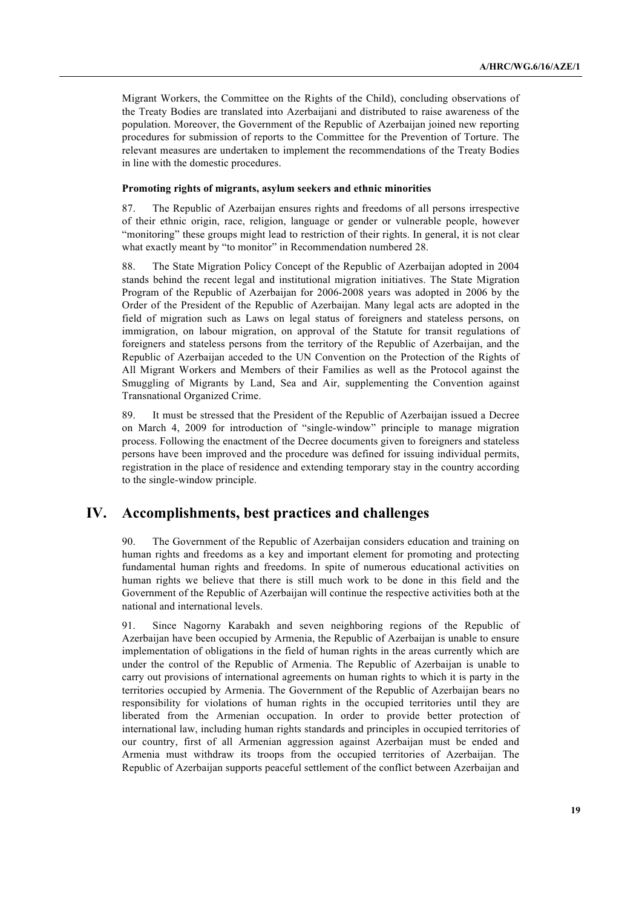Migrant Workers, the Committee on the Rights of the Child), concluding observations of the Treaty Bodies are translated into Azerbaijani and distributed to raise awareness of the population. Moreover, the Government of the Republic of Azerbaijan joined new reporting procedures for submission of reports to the Committee for the Prevention of Torture. The relevant measures are undertaken to implement the recommendations of the Treaty Bodies in line with the domestic procedures.

#### **Promoting rights of migrants, asylum seekers and ethnic minorities**

87. The Republic of Azerbaijan ensures rights and freedoms of all persons irrespective of their ethnic origin, race, religion, language or gender or vulnerable people, however "monitoring" these groups might lead to restriction of their rights. In general, it is not clear what exactly meant by "to monitor" in Recommendation numbered 28.

88. The State Migration Policy Concept of the Republic of Azerbaijan adopted in 2004 stands behind the recent legal and institutional migration initiatives. The State Migration Program of the Republic of Azerbaijan for 2006-2008 years was adopted in 2006 by the Order of the President of the Republic of Azerbaijan. Many legal acts are adopted in the field of migration such as Laws on legal status of foreigners and stateless persons, on immigration, on labour migration, on approval of the Statute for transit regulations of foreigners and stateless persons from the territory of the Republic of Azerbaijan, and the Republic of Azerbaijan acceded to the UN Convention on the Protection of the Rights of All Migrant Workers and Members of their Families as well as the Protocol against the Smuggling of Migrants by Land, Sea and Air, supplementing the Convention against Transnational Organized Crime.

89. It must be stressed that the President of the Republic of Azerbaijan issued a Decree on March 4, 2009 for introduction of "single-window" principle to manage migration process. Following the enactment of the Decree documents given to foreigners and stateless persons have been improved and the procedure was defined for issuing individual permits, registration in the place of residence and extending temporary stay in the country according to the single-window principle.

# **IV. Accomplishments, best practices and challenges**

90. The Government of the Republic of Azerbaijan considers education and training on human rights and freedoms as a key and important element for promoting and protecting fundamental human rights and freedoms. In spite of numerous educational activities on human rights we believe that there is still much work to be done in this field and the Government of the Republic of Azerbaijan will continue the respective activities both at the national and international levels.

91. Since Nagorny Karabakh and seven neighboring regions of the Republic of Azerbaijan have been occupied by Armenia, the Republic of Azerbaijan is unable to ensure implementation of obligations in the field of human rights in the areas currently which are under the control of the Republic of Armenia. The Republic of Azerbaijan is unable to carry out provisions of international agreements on human rights to which it is party in the territories occupied by Armenia. The Government of the Republic of Azerbaijan bears no responsibility for violations of human rights in the occupied territories until they are liberated from the Armenian occupation. In order to provide better protection of international law, including human rights standards and principles in occupied territories of our country, first of all Armenian aggression against Azerbaijan must be ended and Armenia must withdraw its troops from the occupied territories of Azerbaijan. The Republic of Azerbaijan supports peaceful settlement of the conflict between Azerbaijan and